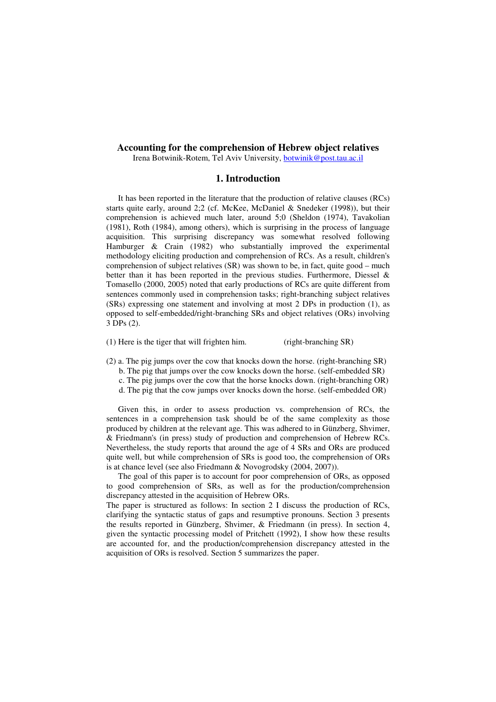### **Accounting for the comprehension of Hebrew object relatives**

Irena Botwinik-Rotem, Tel Aviv University, botwinik@post.tau.ac.il

## **1. Introduction**

It has been reported in the literature that the production of relative clauses (RCs) starts quite early, around 2;2 (cf. McKee, McDaniel & Snedeker (1998)), but their comprehension is achieved much later, around 5;0 (Sheldon (1974), Tavakolian (1981), Roth (1984), among others), which is surprising in the process of language acquisition. This surprising discrepancy was somewhat resolved following Hamburger & Crain (1982) who substantially improved the experimental methodology eliciting production and comprehension of RCs. As a result, children's comprehension of subject relatives (SR) was shown to be, in fact, quite good – much better than it has been reported in the previous studies. Furthermore, Diessel & Tomasello (2000, 2005) noted that early productions of RCs are quite different from sentences commonly used in comprehension tasks; right-branching subject relatives (SRs) expressing one statement and involving at most 2 DPs in production (1), as opposed to self-embedded/right-branching SRs and object relatives (ORs) involving 3 DPs (2).

(1) Here is the tiger that will frighten him. (right-branching SR)

- (2) a. The pig jumps over the cow that knocks down the horse. (right-branching SR)
	- b. The pig that jumps over the cow knocks down the horse. (self-embedded SR)
	- c. The pig jumps over the cow that the horse knocks down. (right-branching OR)
	- d. The pig that the cow jumps over knocks down the horse. (self-embedded OR)

Given this, in order to assess production vs. comprehension of RCs, the sentences in a comprehension task should be of the same complexity as those produced by children at the relevant age. This was adhered to in Günzberg, Shvimer, & Friedmann's (in press) study of production and comprehension of Hebrew RCs. Nevertheless, the study reports that around the age of 4 SRs and ORs are produced quite well, but while comprehension of SRs is good too, the comprehension of ORs is at chance level (see also Friedmann & Novogrodsky (2004, 2007)).

The goal of this paper is to account for poor comprehension of ORs, as opposed to good comprehension of SRs, as well as for the production/comprehension discrepancy attested in the acquisition of Hebrew ORs.

The paper is structured as follows: In section 2 I discuss the production of RCs, clarifying the syntactic status of gaps and resumptive pronouns. Section 3 presents the results reported in Günzberg, Shvimer, & Friedmann (in press). In section 4, given the syntactic processing model of Pritchett (1992), I show how these results are accounted for, and the production/comprehension discrepancy attested in the acquisition of ORs is resolved. Section 5 summarizes the paper.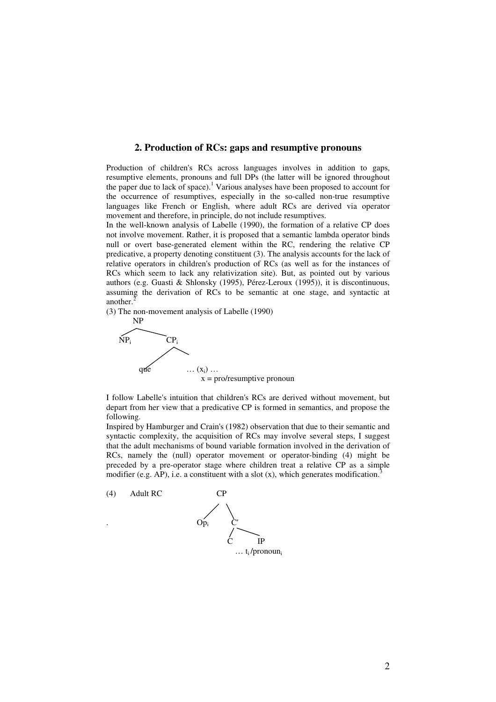## **2. Production of RCs: gaps and resumptive pronouns**

Production of children's RCs across languages involves in addition to gaps, resumptive elements, pronouns and full DPs (the latter will be ignored throughout the paper due to lack of space).<sup>1</sup> Various analyses have been proposed to account for the occurrence of resumptives, especially in the so-called non-true resumptive languages like French or English, where adult RCs are derived via operator movement and therefore, in principle, do not include resumptives.

In the well-known analysis of Labelle (1990), the formation of a relative CP does not involve movement. Rather, it is proposed that a semantic lambda operator binds null or overt base-generated element within the RC, rendering the relative CP predicative, a property denoting constituent (3). The analysis accounts for the lack of relative operators in children's production of RCs (as well as for the instances of RCs which seem to lack any relativization site). But, as pointed out by various authors (e.g. Guasti & Shlonsky (1995), Pérez-Leroux (1995)), it is discontinuous, assuming the derivation of RCs to be semantic at one stage, and syntactic at another. ${}^{2}$ 

(3) The non-movement analysis of Labelle (1990)



I follow Labelle's intuition that children's RCs are derived without movement, but depart from her view that a predicative CP is formed in semantics, and propose the following.

Inspired by Hamburger and Crain's (1982) observation that due to their semantic and syntactic complexity, the acquisition of RCs may involve several steps, I suggest that the adult mechanisms of bound variable formation involved in the derivation of RCs, namely the (null) operator movement or operator-binding (4) might be preceded by a pre-operator stage where children treat a relative CP as a simple modifier (e.g. AP), i.e. a constituent with a slot  $(x)$ , which generates modification.<sup>3</sup>

(4) Adult RC CP

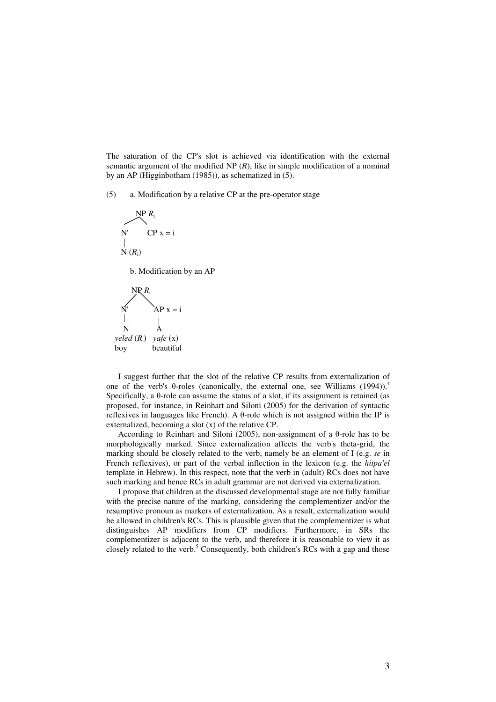The saturation of the CP's slot is achieved via identification with the external semantic argument of the modified NP (*R*), like in simple modification of a nominal by an AP (Higginbotham (1985)), as schematized in (5).

(5) a. Modification by a relative CP at the pre-operator stage

$$
NP R_i
$$
  
N' CP x = i  
N (R<sub>i</sub>)

b. Modification by an AP



I suggest further that the slot of the relative CP results from externalization of one of the verb's  $\theta$ -roles (canonically, the external one, see Williams (1994)).<sup>4</sup> Specifically, a  $\theta$ -role can assume the status of a slot, if its assignment is retained (as proposed, for instance, in Reinhart and Siloni (2005) for the derivation of syntactic reflexives in languages like French). A  $\theta$ -role which is not assigned within the IP is externalized, becoming a slot (x) of the relative CP.

According to Reinhart and Siloni (2005), non-assignment of a  $\theta$ -role has to be morphologically marked. Since externalization affects the verb's theta-grid, the marking should be closely related to the verb, namely be an element of I (e.g. *se* in French reflexives), or part of the verbal inflection in the lexicon (e.g. the *hitpa'el* template in Hebrew). In this respect, note that the verb in (adult) RCs does not have such marking and hence RCs in adult grammar are not derived via externalization.

I propose that children at the discussed developmental stage are not fully familiar with the precise nature of the marking, considering the complementizer and/or the resumptive pronoun as markers of externalization. As a result, externalization would be allowed in children's RCs. This is plausible given that the complementizer is what distinguishes AP modifiers from CP modifiers. Furthermore, in SRs the complementizer is adjacent to the verb, and therefore it is reasonable to view it as closely related to the verb.<sup>5</sup> Consequently, both children's RCs with a gap and those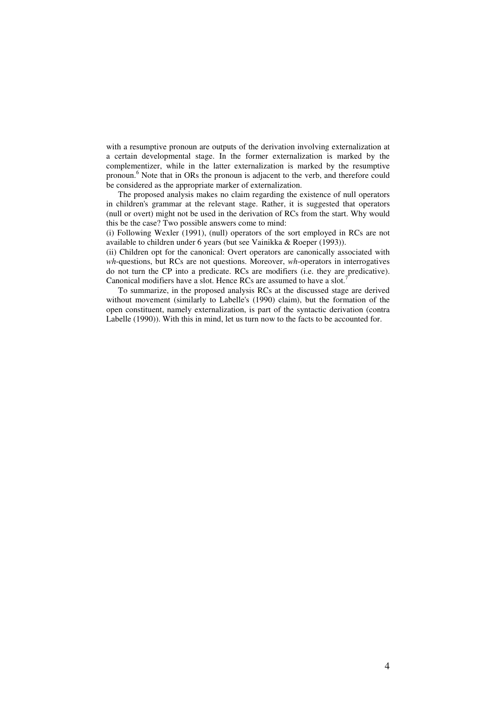with a resumptive pronoun are outputs of the derivation involving externalization at a certain developmental stage. In the former externalization is marked by the complementizer, while in the latter externalization is marked by the resumptive pronoun. <sup>6</sup> Note that in ORs the pronoun is adjacent to the verb, and therefore could be considered as the appropriate marker of externalization.

The proposed analysis makes no claim regarding the existence of null operators in children's grammar at the relevant stage. Rather, it is suggested that operators (null or overt) might not be used in the derivation of RCs from the start. Why would this be the case? Two possible answers come to mind:

(i) Following Wexler (1991), (null) operators of the sort employed in RCs are not available to children under 6 years (but see Vainikka & Roeper (1993)).

(ii) Children opt for the canonical: Overt operators are canonically associated with *wh*-questions, but RCs are not questions. Moreover, *wh*-operators in interrogatives do not turn the CP into a predicate. RCs are modifiers (i.e. they are predicative). Canonical modifiers have a slot. Hence RCs are assumed to have a slot.<sup>7</sup>

To summarize, in the proposed analysis RCs at the discussed stage are derived without movement (similarly to Labelle's (1990) claim), but the formation of the open constituent, namely externalization, is part of the syntactic derivation (contra Labelle (1990)). With this in mind, let us turn now to the facts to be accounted for.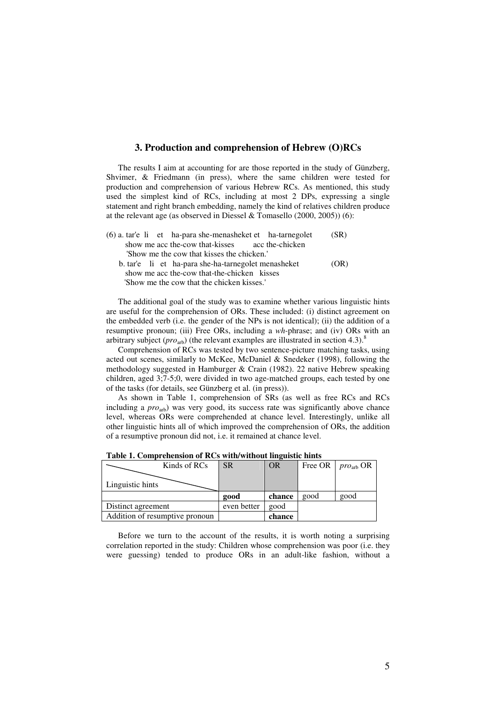#### **3. Production and comprehension of Hebrew (O)RCs**

The results I aim at accounting for are those reported in the study of Günzberg, Shvimer, & Friedmann (in press), where the same children were tested for production and comprehension of various Hebrew RCs. As mentioned, this study used the simplest kind of RCs, including at most 2 DPs, expressing a single statement and right branch embedding, namely the kind of relatives children produce at the relevant age (as observed in Diessel & Tomasello (2000, 2005)) (6):

| $(6)$ a. tar'e li et ha-para she-menasheket et ha-tarnegolet | (SR) |
|--------------------------------------------------------------|------|
| show me acc the-cow that-kisses acc the-chicken              |      |
| 'Show me the cow that kisses the chicken.'                   |      |
| b. tar'e li et ha-para she-ha-tarnegolet menasheket          | (OR) |
| show me acc the-cow that-the-chicken kisses                  |      |
| 'Show me the cow that the chicken kisses.'                   |      |

The additional goal of the study was to examine whether various linguistic hints are useful for the comprehension of ORs. These included: (i) distinct agreement on the embedded verb (i.e. the gender of the NPs is not identical); (ii) the addition of a resumptive pronoun; (iii) Free ORs, including a *wh-*phrase; and (iv) ORs with an arbitrary subject ( $pro_{\text{arb}}$ ) (the relevant examples are illustrated in section 4.3).<sup>8</sup>

Comprehension of RCs was tested by two sentence-picture matching tasks, using acted out scenes, similarly to McKee, McDaniel & Snedeker (1998), following the methodology suggested in Hamburger & Crain (1982). 22 native Hebrew speaking children, aged 3;7-5;0, were divided in two age-matched groups, each tested by one of the tasks (for details, see Günzberg et al. (in press)).

As shown in Table 1, comprehension of SRs (as well as free RCs and RCs including a *pro*arb) was very good, its success rate was significantly above chance level, whereas ORs were comprehended at chance level. Interestingly, unlike all other linguistic hints all of which improved the comprehension of ORs, the addition of a resumptive pronoun did not, i.e. it remained at chance level.

| Kinds of RCs                   | <b>SR</b>   | <b>OR</b> |      | Free OR $\mid pro_{\text{arb}}$ OR |
|--------------------------------|-------------|-----------|------|------------------------------------|
| Linguistic hints               |             |           |      |                                    |
|                                | good        | chance    | good | good                               |
| Distinct agreement             | even better | good      |      |                                    |
| Addition of resumptive pronoun |             | chance    |      |                                    |

**Table 1. Comprehension of RCs with/without linguistic hints**

Before we turn to the account of the results, it is worth noting a surprising correlation reported in the study: Children whose comprehension was poor (i.e. they were guessing) tended to produce ORs in an adult-like fashion, without a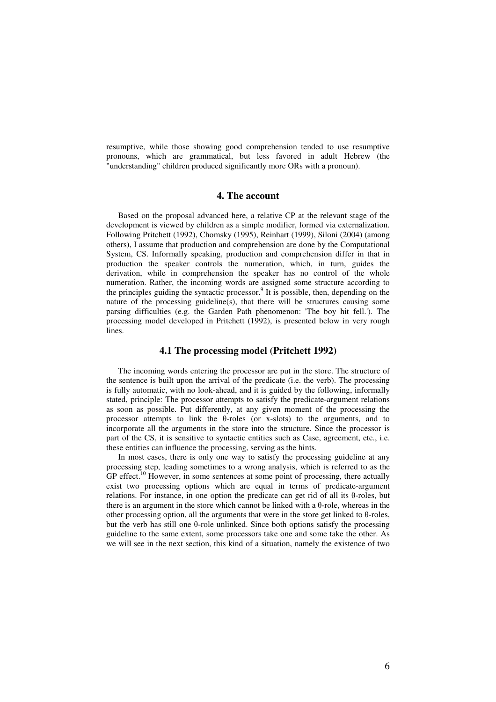resumptive, while those showing good comprehension tended to use resumptive pronouns, which are grammatical, but less favored in adult Hebrew (the "understanding" children produced significantly more ORs with a pronoun).

## **4. The account**

Based on the proposal advanced here, a relative CP at the relevant stage of the development is viewed by children as a simple modifier, formed via externalization. Following Pritchett (1992), Chomsky (1995), Reinhart (1999), Siloni (2004) (among others), I assume that production and comprehension are done by the Computational System, CS. Informally speaking, production and comprehension differ in that in production the speaker controls the numeration, which, in turn, guides the derivation, while in comprehension the speaker has no control of the whole numeration. Rather, the incoming words are assigned some structure according to the principles guiding the syntactic processor.<sup>9</sup> It is possible, then, depending on the nature of the processing guideline(s), that there will be structures causing some parsing difficulties (e.g. the Garden Path phenomenon: 'The boy hit fell.'). The processing model developed in Pritchett (1992), is presented below in very rough lines.

# **4.1 The processing model (Pritchett 1992)**

The incoming words entering the processor are put in the store. The structure of the sentence is built upon the arrival of the predicate (i.e. the verb). The processing is fully automatic, with no look-ahead, and it is guided by the following, informally stated, principle: The processor attempts to satisfy the predicate-argument relations as soon as possible. Put differently, at any given moment of the processing the processor attempts to link the  $\theta$ -roles (or x-slots) to the arguments, and to incorporate all the arguments in the store into the structure. Since the processor is part of the CS, it is sensitive to syntactic entities such as Case, agreement, etc., i.e. these entities can influence the processing, serving as the hints.

In most cases, there is only one way to satisfy the processing guideline at any processing step, leading sometimes to a wrong analysis, which is referred to as the GP effect.<sup>10</sup> However, in some sentences at some point of processing, there actually exist two processing options which are equal in terms of predicate-argument relations. For instance, in one option the predicate can get rid of all its  $\theta$ -roles, but there is an argument in the store which cannot be linked with a  $\theta$ -role, whereas in the other processing option, all the arguments that were in the store get linked to  $\theta$ -roles, but the verb has still one  $\theta$ -role unlinked. Since both options satisfy the processing guideline to the same extent, some processors take one and some take the other. As we will see in the next section, this kind of a situation, namely the existence of two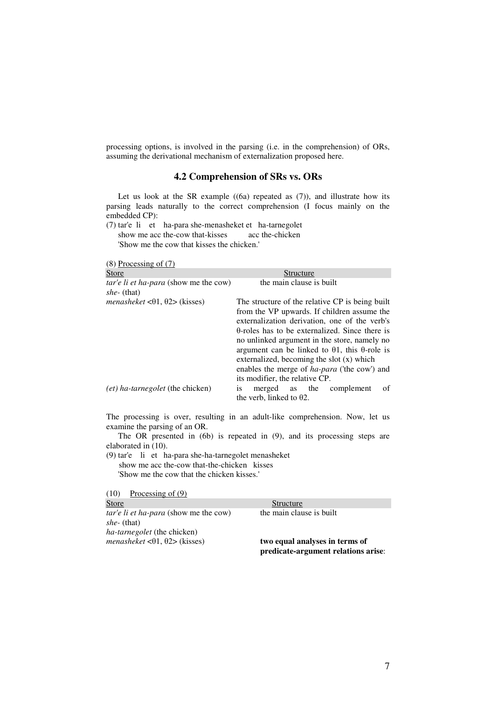processing options, is involved in the parsing (i.e. in the comprehension) of ORs, assuming the derivational mechanism of externalization proposed here.

# **4.2 Comprehension of SRs vs. ORs**

Let us look at the SR example  $((6a)$  repeated as  $(7)$ ), and illustrate how its parsing leads naturally to the correct comprehension (I focus mainly on the embedded CP):

(7) tar'e li et ha-para she-menasheket et ha-tarnegolet show me acc the-cow that-kisses acc the-chicken 'Show me the cow that kisses the chicken.'

| $(8)$ Processing of $(7)$                                     |                                                                                                                                                                                                                                                                                                                                                                                                                                                                   |
|---------------------------------------------------------------|-------------------------------------------------------------------------------------------------------------------------------------------------------------------------------------------------------------------------------------------------------------------------------------------------------------------------------------------------------------------------------------------------------------------------------------------------------------------|
| <b>Store</b>                                                  | Structure                                                                                                                                                                                                                                                                                                                                                                                                                                                         |
| <i>tar'e li et ha-para</i> (show me the cow)<br>$she-$ (that) | the main clause is built                                                                                                                                                                                                                                                                                                                                                                                                                                          |
| <i>menasheket</i> $\langle 01, 02 \rangle$ (kisses)           | The structure of the relative CP is being built<br>from the VP upwards. If children assume the<br>externalization derivation, one of the verb's<br>$\theta$ -roles has to be externalized. Since there is<br>no unlinked argument in the store, namely no<br>argument can be linked to $\theta$ 1, this $\theta$ -role is<br>externalized, becoming the slot $(x)$ which<br>enables the merge of <i>ha-para</i> ('the cow') and<br>its modifier, the relative CP. |
| <i>(et)</i> ha-tarnegolet (the chicken)                       | of<br>merged as the<br>complement<br>1S<br>the verb, linked to $\theta$ 2.                                                                                                                                                                                                                                                                                                                                                                                        |

The processing is over, resulting in an adult-like comprehension. Now, let us examine the parsing of an OR.

The OR presented in (6b) is repeated in (9), and its processing steps are elaborated in (10).

(9) tar'e li et ha-para she-ha-tarnegolet menasheket show me acc the-cow that-the-chicken kisses 'Show me the cow that the chicken kisses.'

 $(10)$  Processing of  $(9)$ 

| Store                                        | Structure                           |
|----------------------------------------------|-------------------------------------|
| <i>tar'e li et ha-para</i> (show me the cow) | the main clause is built            |
| <i>she-</i> (that)                           |                                     |
| <i>ha-tarnegolet</i> (the chicken)           |                                     |
| menasheket $\langle 01, 02 \rangle$ (kisses) | two equal analyses in terms of      |
|                                              | predicate-argument relations arise: |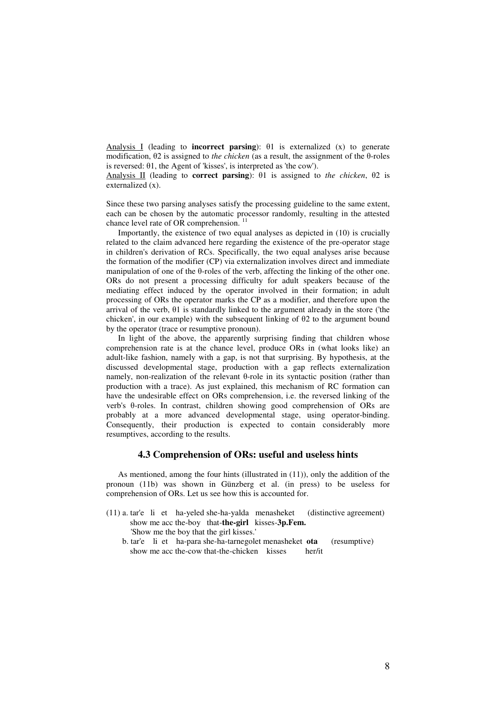Analysis I (leading to **incorrect parsing**):  $\theta$ 1 is externalized (x) to generate modification,  $\theta$ 2 is assigned to *the chicken* (as a result, the assignment of the  $\theta$ -roles is reversed:  $\theta$ 1, the Agent of 'kisses', is interpreted as 'the cow').

Analysis II (leading to **correct parsing**):  $\theta$ 1 is assigned to *the chicken*,  $\theta$ 2 is externalized (x).

Since these two parsing analyses satisfy the processing guideline to the same extent, each can be chosen by the automatic processor randomly, resulting in the attested chance level rate of OR comprehension.<sup>11</sup>

Importantly, the existence of two equal analyses as depicted in (10) is crucially related to the claim advanced here regarding the existence of the pre-operator stage in children's derivation of RCs. Specifically, the two equal analyses arise because the formation of the modifier (CP) via externalization involves direct and immediate manipulation of one of the  $\theta$ -roles of the verb, affecting the linking of the other one. ORs do not present a processing difficulty for adult speakers because of the mediating effect induced by the operator involved in their formation; in adult processing of ORs the operator marks the CP as a modifier, and therefore upon the arrival of the verb,  $\theta$ 1 is standardly linked to the argument already in the store ('the chicken', in our example) with the subsequent linking of  $\theta$ 2 to the argument bound by the operator (trace or resumptive pronoun).

In light of the above, the apparently surprising finding that children whose comprehension rate is at the chance level, produce ORs in (what looks like) an adult-like fashion, namely with a gap, is not that surprising. By hypothesis, at the discussed developmental stage, production with a gap reflects externalization namely, non-realization of the relevant  $\theta$ -role in its syntactic position (rather than production with a trace). As just explained, this mechanism of RC formation can have the undesirable effect on ORs comprehension, i.e. the reversed linking of the verb's  $\theta$ -roles. In contrast, children showing good comprehension of ORs are probably at a more advanced developmental stage, using operator-binding. Consequently, their production is expected to contain considerably more resumptives, according to the results.

## **4.3 Comprehension of ORs: useful and useless hints**

As mentioned, among the four hints (illustrated in (11)), only the addition of the pronoun (11b) was shown in Günzberg et al. (in press) to be useless for comprehension of ORs. Let us see how this is accounted for.

- (11) a. tar'e li et ha-yeled she-ha-yalda menasheket (distinctive agreement) show me acc the-boy that-**the-girl** kisses-**3p.Fem.** 'Show me the boy that the girl kisses.'
	- b. tar'e li et ha-para she-ha-tarnegolet menasheket **ota** (resumptive) show me acc the-cow that-the-chicken kisses her/it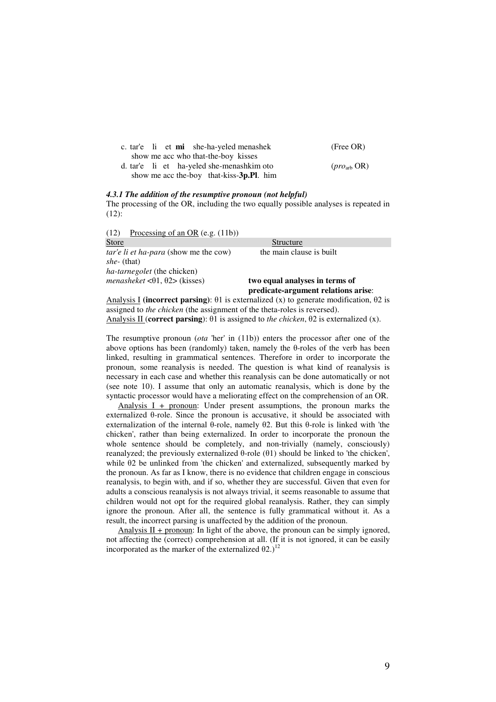|  |  | c. tar'e li et <b>mi</b> she-ha-yeled menashek | (Free OR)                             |
|--|--|------------------------------------------------|---------------------------------------|
|  |  | show me acc who that-the-boy kisses            |                                       |
|  |  | d. tar'e li et ha-yeled she-menashkim oto      | $(\text{pro}_{\text{arb}} \text{OR})$ |
|  |  | show me acc the-boy that-kiss-3p.Pl. him       |                                       |

#### *4.3.1 The addition of the resumptive pronoun (not helpful)*

The processing of the OR, including the two equally possible analyses is repeated in (12):

| Processing of an OR $(e.g. (11b))$<br>(12)   |                                                                                                                           |
|----------------------------------------------|---------------------------------------------------------------------------------------------------------------------------|
| Store                                        | Structure                                                                                                                 |
| <i>tar'e li et ha-para</i> (show me the cow) | the main clause is built                                                                                                  |
| <i>she-</i> (that)                           |                                                                                                                           |
| <i>ha-tarnegolet</i> (the chicken)           |                                                                                                                           |
| menasheket $\langle 01, 02 \rangle$ (kisses) | two equal analyses in terms of                                                                                            |
|                                              | predicate-argument relations arise:                                                                                       |
|                                              | $\Lambda$ and suited to the compact theoretical (a) in the second (a) in the compact of the different case of $\Omega$ is |

Analysis I **(incorrect parsing)**:  $\theta$ 1 is externalized (x) to generate modification,  $\theta$ 2 is assigned to *the chicken* (the assignment of the theta-roles is reversed). Analysis II (**correct parsing**):  $\theta$ 1 is assigned to *the chicken*,  $\theta$ 2 is externalized (x).

The resumptive pronoun (*ota* 'her' in (11b)) enters the processor after one of the above options has been (randomly) taken, namely the  $\theta$ -roles of the verb has been linked, resulting in grammatical sentences. Therefore in order to incorporate the pronoun, some reanalysis is needed. The question is what kind of reanalysis is necessary in each case and whether this reanalysis can be done automatically or not (see note 10). I assume that only an automatic reanalysis, which is done by the syntactic processor would have a meliorating effect on the comprehension of an OR.

Analysis I + pronoun: Under present assumptions, the pronoun marks the externalized  $\theta$ -role. Since the pronoun is accusative, it should be associated with externalization of the internal  $\theta$ -role, namely  $\theta$ 2. But this  $\theta$ -role is linked with 'the chicken', rather than being externalized. In order to incorporate the pronoun the whole sentence should be completely, and non-trivially (namely, consciously) reanalyzed; the previously externalized  $\theta$ -role ( $\theta$ 1) should be linked to 'the chicken', while  $\theta$ 2 be unlinked from 'the chicken' and externalized, subsequently marked by the pronoun. As far as I know, there is no evidence that children engage in conscious reanalysis, to begin with, and if so, whether they are successful. Given that even for adults a conscious reanalysis is not always trivial, it seems reasonable to assume that children would not opt for the required global reanalysis. Rather, they can simply ignore the pronoun. After all, the sentence is fully grammatical without it. As a result, the incorrect parsing is unaffected by the addition of the pronoun.

Analysis  $II$  + pronoun: In light of the above, the pronoun can be simply ignored, not affecting the (correct) comprehension at all. (If it is not ignored, it can be easily incorporated as the marker of the externalized  $(\theta_2)^{12}$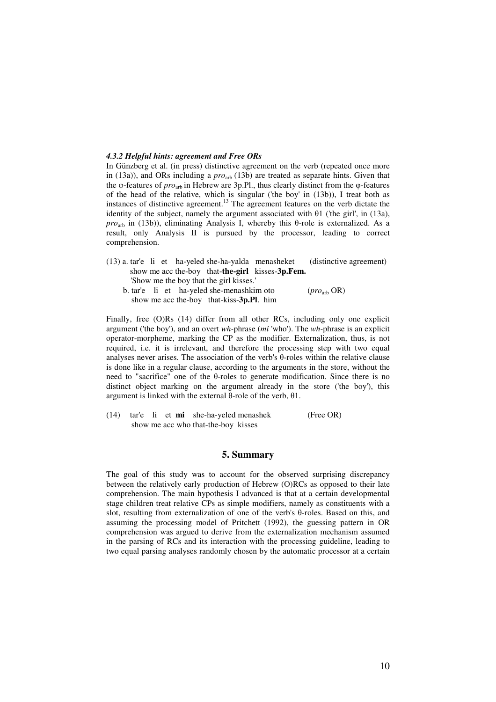#### *4.3.2 Helpful hints: agreement and Free ORs*

In Günzberg et al. (in press) distinctive agreement on the verb (repeated once more in (13a)), and ORs including a  $pro_{\text{arb}}(13b)$  are treated as separate hints. Given that the φ-features of *pro*<sub>arb</sub> in Hebrew are 3p.Pl., thus clearly distinct from the φ-features of the head of the relative, which is singular ('the boy' in (13b)), I treat both as instances of distinctive agreement.<sup>13</sup> The agreement features on the verb dictate the identity of the subject, namely the argument associated with  $\theta$ 1 ('the girl', in (13a),  $pro<sub>arb</sub>$  in (13b)), eliminating Analysis I, whereby this  $\theta$ -role is externalized. As a result, only Analysis II is pursued by the processor, leading to correct comprehension.

(13) a. tar'e li et ha-yeled she-ha-yalda menasheket (distinctive agreement) show me acc the-boy that-**the-girl** kisses-**3p.Fem.** 'Show me the boy that the girl kisses.' b. tar'e li et ha-yeled she-menashkim oto (*pro*arb OR) show me acc the-boy that-kiss-**3p.Pl**. him

Finally, free (O)Rs (14) differ from all other RCs, including only one explicit argument ('the boy'), and an overt *wh-*phrase (*mi* 'who'). The *wh-*phrase is an explicit operator-morpheme, marking the CP as the modifier. Externalization, thus, is not required, i.e. it is irrelevant, and therefore the processing step with two equal analyses never arises. The association of the verb's  $\theta$ -roles within the relative clause is done like in a regular clause, according to the arguments in the store, without the need to "sacrifice" one of the  $\theta$ -roles to generate modification. Since there is no distinct object marking on the argument already in the store ('the boy'), this argument is linked with the external  $\theta$ -role of the verb,  $\theta$ 1.

(14) tar'e li et **mi** she-ha-yeled menashek (Free OR) show me acc who that-the-boy kisses

# **5. Summary**

The goal of this study was to account for the observed surprising discrepancy between the relatively early production of Hebrew (O)RCs as opposed to their late comprehension. The main hypothesis I advanced is that at a certain developmental stage children treat relative CPs as simple modifiers, namely as constituents with a slot, resulting from externalization of one of the verb's  $\theta$ -roles. Based on this, and assuming the processing model of Pritchett (1992), the guessing pattern in OR comprehension was argued to derive from the externalization mechanism assumed in the parsing of RCs and its interaction with the processing guideline, leading to two equal parsing analyses randomly chosen by the automatic processor at a certain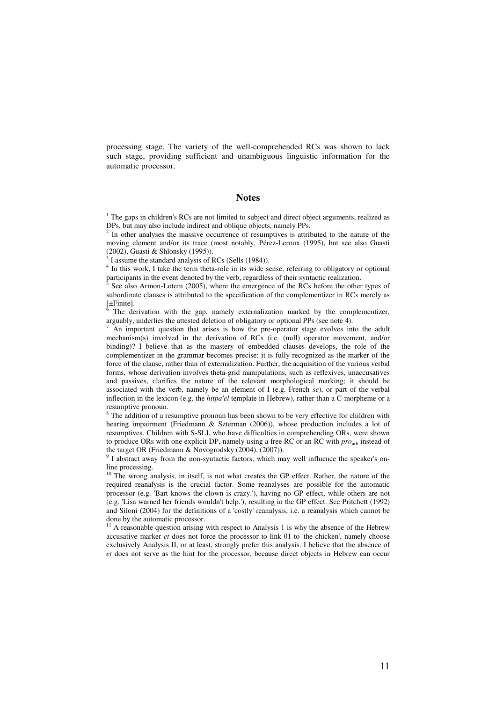processing stage. The variety of the well-comprehended RCs was shown to lack such stage, providing sufficient and unambiguous linguistic information for the automatic processor.

## **Notes**

<sup>&</sup>lt;sup>1</sup> The gaps in children's RCs are not limited to subject and direct object arguments, realized as DPs, but may also include indirect and oblique objects, namely PPs.

<sup>2</sup> In other analyses the massive occurrence of resumptives is attributed to the nature of the moving element and/or its trace (most notably, Pérez-Leroux (1995), but see also Guasti (2002), Guasti & Shlonsky (1995)).

<sup>3</sup> I assume the standard analysis of RCs (Sells (1984)).

<sup>&</sup>lt;sup>4</sup> In this work, I take the term theta-role in its wide sense, referring to obligatory or optional participants in the event denoted by the verb, regardless of their syntactic realization.<br><sup>5</sup> See also Armon Lotem (2005), where the amergence of the PCs before the other

See also Armon-Lotem (2005), where the emergence of the RCs before the other types of subordinate clauses is attributed to the specification of the complementizer in RCs merely as [+Finite].

The derivation with the gap, namely externalization marked by the complementizer, arguably, underlies the attested deletion of obligatory or optional PPs (see note 4).

<sup>7</sup> An important question that arises is how the pre-operator stage evolves into the adult mechanism(s) involved in the derivation of RCs (i.e. (null) operator movement, and/or binding)? I believe that as the mastery of embedded clauses develops, the role of the complementizer in the grammar becomes precise; it is fully recognized as the marker of the force of the clause, rather than of externalization. Further, the acquisition of the various verbal forms, whose derivation involves theta-grid manipulations, such as reflexives, unaccusatives and passives, clarifies the nature of the relevant morphological marking; it should be associated with the verb, namely be an element of I (e.g. French *se*), or part of the verbal inflection in the lexicon (e.g. the *hitpa'el* template in Hebrew), rather than a C-morpheme or a resumptive pronoun.

<sup>&</sup>lt;sup>8</sup> The addition of a resumptive pronoun has been shown to be very effective for children with hearing impairment (Friedmann & Szterman (2006)), whose production includes a lot of resumptives. Children with S-SLI, who have difficulties in comprehending ORs, were shown to produce ORs with one explicit DP, namely using a free RC or an RC with *pro*arb instead of the target OR (Friedmann & Novogrodsky (2004), (2007)).

<sup>9</sup> I abstract away from the non-syntactic factors, which may well influence the speaker's online processing.

 $10$  The wrong analysis, in itself, is not what creates the GP effect. Rather, the nature of the required reanalysis is the crucial factor. Some reanalyses are possible for the automatic processor (e.g. 'Bart knows the clown is crazy.'), having no GP effect, while others are not (e.g. 'Lisa warned her friends wouldn't help.'), resulting in the GP effect. See Pritchett (1992) and Siloni (2004) for the definitions of a 'costly' reanalysis, i.e. a reanalysis which cannot be done by the automatic processor.

<sup>&</sup>lt;sup>11</sup> A reasonable question arising with respect to Analysis 1 is why the absence of the Hebrew accusative marker  $et$  does not force the processor to link  $\theta$ 1 to 'the chicken', namely choose exclusively Analysis II, or at least, strongly prefer this analysis. I believe that the absence of *et* does not serve as the hint for the processor, because direct objects in Hebrew can occur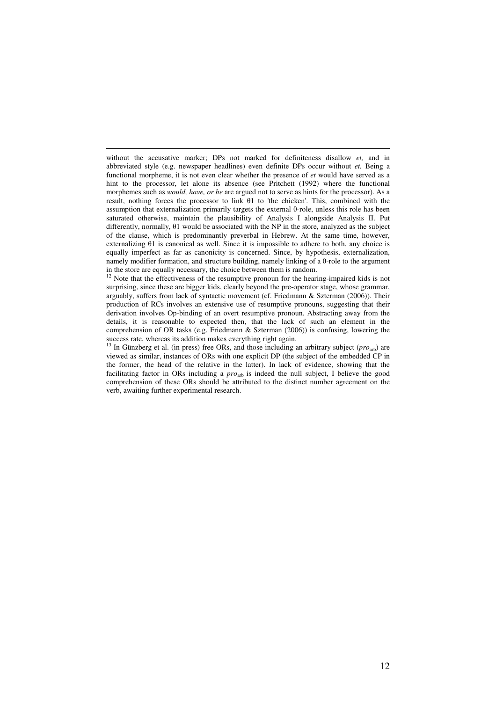without the accusative marker; DPs not marked for definiteness disallow *et,* and in abbreviated style (e.g. newspaper headlines) even definite DPs occur without *et.* Being a functional morpheme, it is not even clear whether the presence of *et* would have served as a hint to the processor, let alone its absence (see Pritchett (1992) where the functional morphemes such as *would, have, or be* are argued not to serve as hints for the processor). As a result, nothing forces the processor to link  $\theta$ 1 to 'the chicken'. This, combined with the assumption that externalization primarily targets the external  $\theta$ -role, unless this role has been saturated otherwise, maintain the plausibility of Analysis I alongside Analysis II. Put differently, normally,  $\theta$ 1 would be associated with the NP in the store, analyzed as the subject of the clause, which is predominantly preverbal in Hebrew. At the same time, however, externalizing  $\theta$ 1 is canonical as well. Since it is impossible to adhere to both, any choice is equally imperfect as far as canonicity is concerned. Since, by hypothesis, externalization, namely modifier formation, and structure building, namely linking of a  $\theta$ -role to the argument in the store are equally necessary, the choice between them is random.

 $12$  Note that the effectiveness of the resumptive pronoun for the hearing-impaired kids is not surprising, since these are bigger kids, clearly beyond the pre-operator stage, whose grammar, arguably, suffers from lack of syntactic movement (cf. Friedmann & Szterman (2006)). Their production of RCs involves an extensive use of resumptive pronouns, suggesting that their derivation involves Op-binding of an overt resumptive pronoun. Abstracting away from the details, it is reasonable to expected then, that the lack of such an element in the comprehension of OR tasks (e.g. Friedmann & Szterman (2006)) is confusing, lowering the success rate, whereas its addition makes everything right again.

<sup>13</sup> In Günzberg et al. (in press) free ORs, and those including an arbitrary subject (*pro*<sub>arb</sub>) are viewed as similar, instances of ORs with one explicit DP (the subject of the embedded CP in the former, the head of the relative in the latter). In lack of evidence, showing that the facilitating factor in ORs including a *pro*<sub>arb</sub> is indeed the null subject, I believe the good comprehension of these ORs should be attributed to the distinct number agreement on the verb, awaiting further experimental research.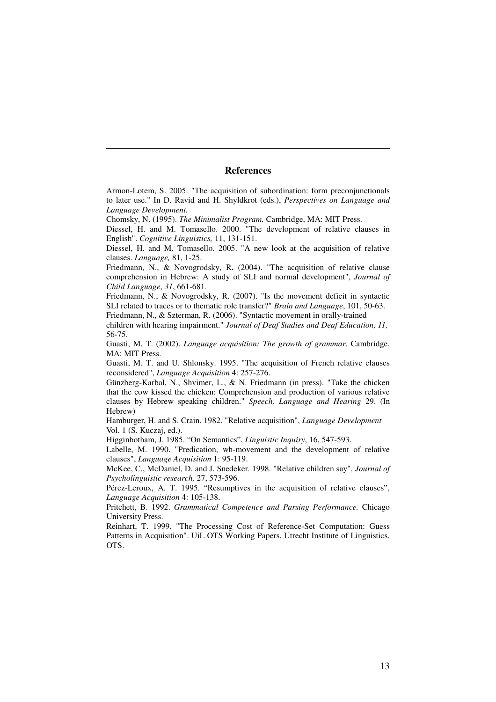#### **References**

Armon-Lotem, S. 2005. "The acquisition of subordination: form preconjunctionals to later use." In D. Ravid and H. Shyldkrot (eds.), *Perspectives on Language and Language Development.*

Chomsky, N. (1995). *The Minimalist Program.* Cambridge, MA: MIT Press.

Diessel, H. and M. Tomasello. 2000. "The development of relative clauses in English". *Cognitive Linguistics,* 11, 131-151.

Diessel, H. and M. Tomasello. 2005. "A new look at the acquisition of relative clauses. *Language,* 81, 1-25.

Friedmann, N., & Novogrodsky, R**.** (2004). "The acquisition of relative clause comprehension in Hebrew: A study of SLI and normal development", *Journal of Child Language*, *31*, 661-681.

Friedmann, N., & Novogrodsky, R. (2007). "Is the movement deficit in syntactic SLI related to traces or to thematic role transfer?" *Brain and Language*, 101, 50-63.

Friedmann, N., & Szterman, R. (2006). "Syntactic movement in orally-trained

children with hearing impairment." *Journal of Deaf Studies and Deaf Education, 11,* 56-75.

Guasti, M. T. (2002). *Language acquisition: The growth of grammar*. Cambridge, MA: MIT Press.

Guasti, M. T. and U. Shlonsky. 1995. "The acquisition of French relative clauses reconsidered", *Language Acquisition* 4: 257-276.

Günzberg-Karbal, N., Shvimer, L., & N. Friedmann (in press). "Take the chicken that the cow kissed the chicken: Comprehension and production of various relative clauses by Hebrew speaking children." *Speech, Language and Hearing* 29. (In Hebrew)

Hamburger, H. and S. Crain. 1982. "Relative acquisition", *Language Development* Vol. 1 (S. Kuczaj, ed.).

Higginbotham, J. 1985. "On Semantics", *Linguistic Inquiry*, 16, 547-593.

Labelle, M. 1990. "Predication, wh-movement and the development of relative clauses", *Language Acquisition* 1: 95-119.

McKee, C., McDaniel, D. and J. Snedeker. 1998. "Relative children say". *Journal of Psycholinguistic research,* 27, 573-596.

Pérez-Leroux, A. T. 1995. "Resumptives in the acquisition of relative clauses", *Language Acquisition* 4: 105-138.

Pritchett, B. 1992. *Grammatical Competence and Parsing Performance.* Chicago University Press.

Reinhart, T. 1999. "The Processing Cost of Reference-Set Computation: Guess Patterns in Acquisition". UiL OTS Working Papers, Utrecht Institute of Linguistics, OTS.